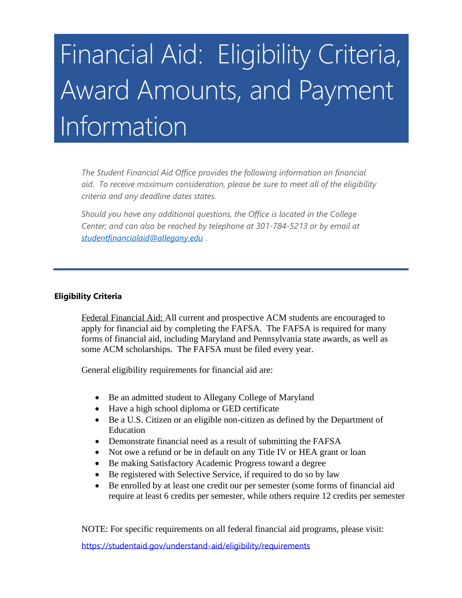## Financial Aid: Eligibility Criteria, Award Amounts, and Payment Information

 *aid. To receive maximum consideration, please be sure to meet all of the eligibility*  criteria and any deadline dates states. *The Student Financial Aid Office provides the following information on financial* 

criteria and any deadline dates states.<br>Should you have any additional questions, the Office is located in the College  *[studentfinancialaid@allegany.edu](mailto:studentfinancialaid@allegany.edu) . Center; and can also be reached by telephone at 301-784-5213 or by email at* 

## **Eligibility Criteria**

 forms of financial aid, including Maryland and Pennsylvania state awards, as well as Federal Financial Aid: All current and prospective ACM students are encouraged to apply for financial aid by completing the FAFSA. The FAFSA is required for many some ACM scholarships. The FAFSA must be filed every year.

General eligibility requirements for financial aid are:

- Be an admitted student to Allegany College of Maryland
- Have a high school diploma or GED certificate
- Be a U.S. Citizen or an eligible non-citizen as defined by the Department of Education
- Demonstrate financial need as a result of submitting the FAFSA
- Not owe a refund or be in default on any Title IV or HEA grant or loan
- Be making Satisfactory Academic Progress toward a degree
- Be registered with Selective Service, if required to do so by law
- Be enrolled by at least one credit our per semester (some forms of financial aid require at least 6 credits per semester, while others require 12 credits per semester

NOTE: For specific requirements on all federal financial aid programs, please visit:

<https://studentaid.gov/understand-aid/eligibility/requirements>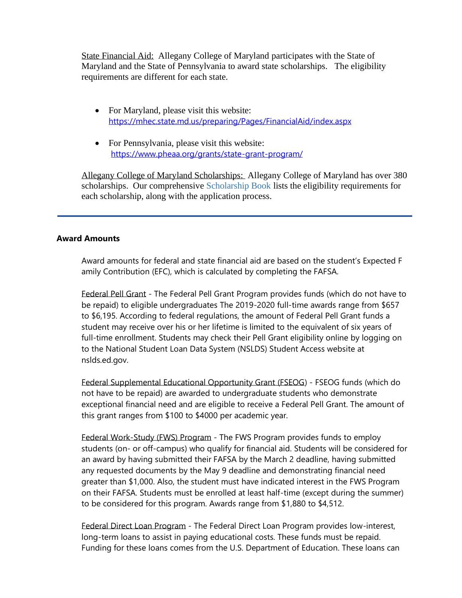State Financial Aid: Allegany College of Maryland participates with the State of Maryland and the State of Pennsylvania to award state scholarships. The eligibility requirements are different for each state.

- For Maryland, please visit this website: https://mhec.state.md.us/preparing/Pages/FinancialAid/index.aspx
- For Pennsylvania, please visit this website: https://www.pheaa.org/grants/state-grant-program/

Allegany College of Maryland Scholarships: Allegany College of Maryland has over 380 scholarships. Our comprehensive Scholarship Book lists the eligibility requirements for each scholarship, along with the application process.

## **Award Amounts**

amily Contribution (EFC), which is calculated by completing the FAFSA. Award amounts for federal and state financial aid are based on the student's Expected F

Federal Pell Grant - The Federal Pell Grant Program provides funds (which do not have to be repaid) to eligible undergraduates The 2019-2020 full-time awards range from \$657 to \$6,195. According to federal regulations, the amount of Federal Pell Grant funds a student may receive over his or her lifetime is limited to the equivalent of six years of full-time enrollment. Students may check their Pell Grant eligibility online by logging on to the National Student Loan Data System (NSLDS) Student Access website at [nslds.ed.gov](https://nslds.ed.gov).

Federal Supplemental Educational Opportunity Grant (FSEOG) - FSEOG funds (which do not have to be repaid) are awarded to undergraduate students who demonstrate exceptional financial need and are eligible to receive a Federal Pell Grant. The amount of this grant ranges from \$100 to \$4000 per academic year.

Federal Work-Study (FWS) Program - The FWS Program provides funds to employ students (on- or off-campus) who qualify for financial aid. Students will be considered for an award by having submitted their FAFSA by the March 2 deadline, having submitted any requested documents by the May 9 deadline and demonstrating financial need greater than \$1,000. Also, the student must have indicated interest in the FWS Program on their FAFSA. Students must be enrolled at least half-time (except during the summer) to be considered for this program. Awards range from \$1,880 to \$4,512.

Federal Direct Loan Program - The Federal Direct Loan Program provides low-interest, long-term loans to assist in paying educational costs. These funds must be repaid. Funding for these loans comes from the U.S. Department of Education. These loans can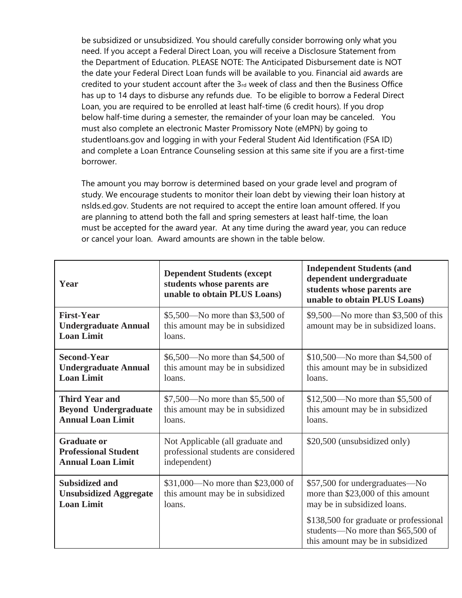has up to 14 days to disburse any refunds due. To be eligible to borrow a Federal Direct below half-time during a semester, the remainder of your loan may be canceled. You be subsidized or unsubsidized. You should carefully consider borrowing only what you need. If you accept a Federal Direct Loan, you will receive a Disclosure Statement from the Department of Education. PLEASE NOTE: The Anticipated Disbursement date is NOT the date your Federal Direct Loan funds will be available to you. Financial aid awards are credited to your student account after the  $3<sub>rd</sub>$  week of class and then the Business Office Loan, you are required to be enrolled at least half-time (6 credit hours). If you drop must also complete an electronic Master Promissory Note (eMPN) by going to [studentloans.gov](https://studentloans.gov) and logging in with your Federal Student Aid Identification (FSA ID) and complete a Loan Entrance Counseling session at this same site if you are a first-time borrower.

 must be accepted for the award year. At any time during the award year, you can reduce The amount you may borrow is determined based on your grade level and program of study. We encourage students to monitor their loan debt by viewing their loan history at [nslds.ed.gov](https://nslds.ed.gov). Students are not required to accept the entire loan amount offered. If you are planning to attend both the fall and spring semesters at least half-time, the loan or cancel your loan. Award amounts are shown in the table below.

| Year                                                                             | <b>Dependent Students (except)</b><br>students whose parents are<br>unable to obtain PLUS Loans) | <b>Independent Students (and</b><br>dependent undergraduate<br>students whose parents are<br>unable to obtain PLUS Loans) |
|----------------------------------------------------------------------------------|--------------------------------------------------------------------------------------------------|---------------------------------------------------------------------------------------------------------------------------|
| <b>First-Year</b><br><b>Undergraduate Annual</b><br><b>Loan Limit</b>            | \$5,500—No more than \$3,500 of<br>this amount may be in subsidized<br>loans.                    | \$9,500—No more than \$3,500 of this<br>amount may be in subsidized loans.                                                |
| <b>Second-Year</b><br><b>Undergraduate Annual</b><br><b>Loan Limit</b>           | \$6,500—No more than \$4,500 of<br>this amount may be in subsidized<br>loans.                    | $$10,500$ —No more than \$4,500 of<br>this amount may be in subsidized<br>loans.                                          |
| <b>Third Year and</b><br><b>Beyond Undergraduate</b><br><b>Annual Loan Limit</b> | \$7,500—No more than \$5,500 of<br>this amount may be in subsidized<br>loans.                    | \$12,500—No more than \$5,500 of<br>this amount may be in subsidized<br>loans.                                            |
| <b>Graduate or</b><br><b>Professional Student</b><br><b>Annual Loan Limit</b>    | Not Applicable (all graduate and<br>professional students are considered<br>independent)         | \$20,500 (unsubsidized only)                                                                                              |
| <b>Subsidized and</b><br><b>Unsubsidized Aggregate</b><br><b>Loan Limit</b>      | \$31,000—No more than \$23,000 of<br>this amount may be in subsidized<br>loans.                  | \$57,500 for undergraduates—No<br>more than \$23,000 of this amount<br>may be in subsidized loans.                        |
|                                                                                  |                                                                                                  | \$138,500 for graduate or professional<br>students—No more than \$65,500 of<br>this amount may be in subsidized           |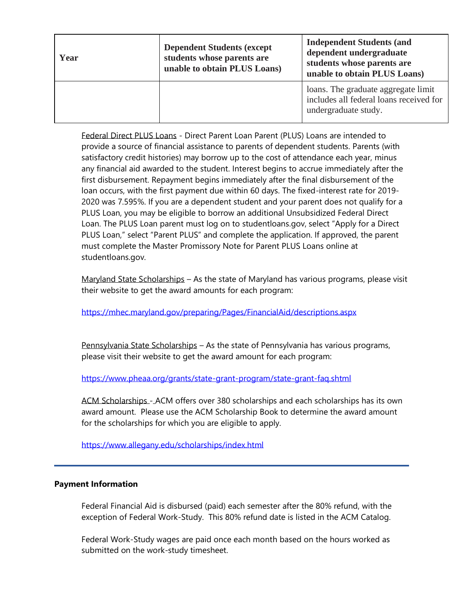| Year | <b>Dependent Students (except)</b><br>students whose parents are<br>unable to obtain PLUS Loans) | <b>Independent Students (and</b><br>dependent undergraduate<br>students whose parents are<br>unable to obtain PLUS Loans) |
|------|--------------------------------------------------------------------------------------------------|---------------------------------------------------------------------------------------------------------------------------|
|      |                                                                                                  | loans. The graduate aggregate limit<br>includes all federal loans received for<br>undergraduate study.                    |

Federal Direct PLUS Loans - Direct Parent Loan Parent (PLUS) Loans are intended to provide a source of financial assistance to parents of dependent students. Parents (with satisfactory credit histories) may borrow up to the cost of attendance each year, minus any financial aid awarded to the student. Interest begins to accrue immediately after the first disbursement. Repayment begins immediately after the final disbursement of the loan occurs, with the first payment due within 60 days. The fixed-interest rate for 2019- 2020 was 7.595%. If you are a dependent student and your parent does not qualify for a PLUS Loan, you may be eligible to borrow an additional Unsubsidized Federal Direct Loan. The PLUS Loan parent must log on to [studentloans.gov](https://studentloans.gov), select "Apply for a Direct PLUS Loan," select "Parent PLUS" and complete the application. If approved, the parent must complete the Master Promissory Note for Parent PLUS Loans online at [studentloans.gov](https://studentloans.gov).

Maryland State Scholarships – As the state of Maryland has various programs, please visit their website to get the award amounts for each program:

<https://mhec.maryland.gov/preparing/Pages/FinancialAid/descriptions.aspx>

Pennsylvania State Scholarships – As the state of Pennsylvania has various programs, please visit their website to get the award amount for each program:

<https://www.pheaa.org/grants/state-grant-program/state-grant-faq.shtml>

ACM Scholarships - ACM offers over 380 scholarships and each scholarships has its own award amount. Please use the ACM Scholarship Book to determine the award amount for the scholarships for which you are eligible to apply.

<https://www.allegany.edu/scholarships/index.html>

## **Payment Information**

exception of Federal Work-Study. This 80% refund date is listed in the ACM Catalog. Federal Financial Aid is disbursed (paid) each semester after the 80% refund, with the

 submitted on the work-study timesheet. Federal Work-Study wages are paid once each month based on the hours worked as